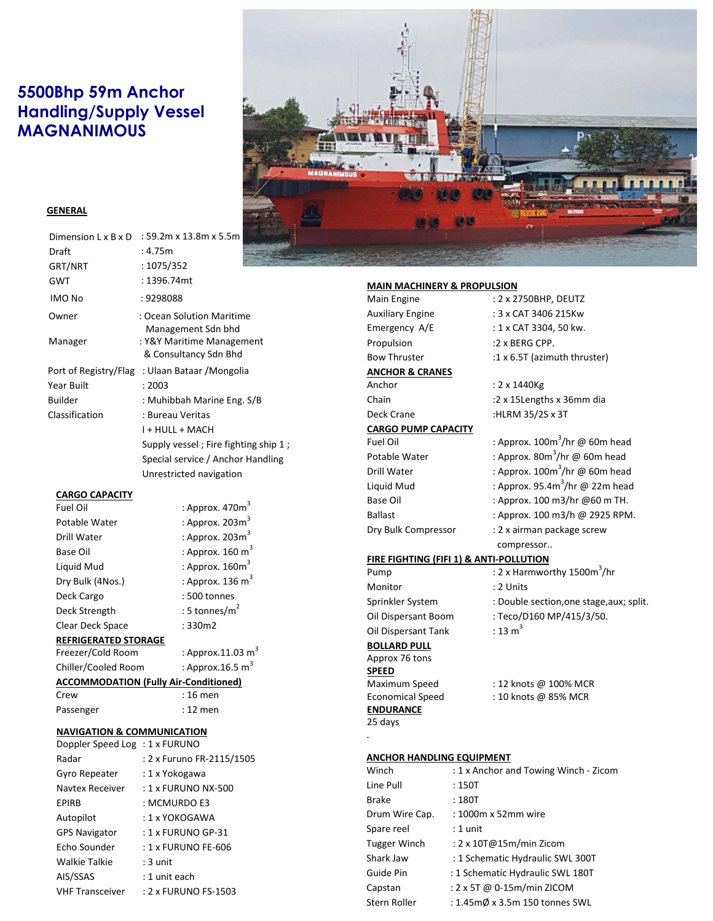# **5500Bhp 59m Anchor Handling/Supply Vessel MAGNANIMOUS**



# **GENERAL**

| Dimension L x B x D | : 59.2m x 13.8m x 5.5m                             |
|---------------------|----------------------------------------------------|
| Draft               | : 4.75m                                            |
| GRT/NRT             | : 1075/352                                         |
| <b>GWT</b>          | : 1396.74mt                                        |
| IMO No              | : 9298088                                          |
| Owner               | : Ocean Solution Maritime<br>Management Sdn bhd    |
| Manager             | : Y&Y Maritime Management<br>& Consultancy Sdn Bhd |
|                     | Port of Registry/Flag: Ulaan Bataar / Mongolia     |
| <b>Year Built</b>   | : 2003                                             |
| <b>Builder</b>      | : Muhibbah Marine Eng. S/B                         |
| Classification      | : Bureau Veritas                                   |
|                     | I + HULL + MACH                                    |
|                     | Supply vessel; Fire fighting ship 1;               |
|                     | Special service / Anchor Handling                  |
|                     | Unrestricted navigation                            |

## **CARGO CAPACITY**

| <b>Fuel Oil</b>             | : Approx. $470m3$           |
|-----------------------------|-----------------------------|
| Potable Water               | : Approx. $203m3$           |
| Drill Water                 | : Approx. $203m3$           |
| Base Oil                    | : Approx. $160 \text{ m}^3$ |
| Liquid Mud                  | : Approx. $160m3$           |
| Dry Bulk (4Nos.)            | : Approx. 136 $m3$          |
| Deck Cargo                  | $:500$ tonnes               |
| Deck Strength               | : 5 tonnes/ $m2$            |
| Clear Deck Space            | : 330m2                     |
| <b>REFRIGERATED STORAGE</b> |                             |

Freezer/Cold Room Chiller/Cooled Room : Approx.16.5  $m^3$ 

**ACCOMMODATION (Fully Air-Conditioned)**   $: 16$  men

: Approx.11.03  $m<sup>3</sup>$ 

Passenger : 12 men

# **NAVIGATION & COMMUNICATION**

| Doppler Speed Log: 1 x FURUNO |                           |
|-------------------------------|---------------------------|
| Radar                         | : 2 x Furuno FR-2115/1505 |
| Gyro Repeater                 | : 1 x Yokogawa            |
| Navtex Receiver               | : 1 x FURUNO NX-500       |
| EPIRB                         | : MCMURDO E3              |
| Autopilot                     | : 1 x YOKOGAWA            |
| <b>GPS Navigator</b>          | $: 1 \times$ FURUNO GP-31 |
| Echo Sounder                  | : 1 x FURUNO FE-606       |
| Walkie Talkie                 | $:3$ unit                 |
| AIS/SSAS                      | : 1 unit each             |
| <b>VHF Transceiver</b>        | : 2 x FURUNO FS-1503      |

### **MAIN MACHINERY & PROPULSION**

| Main Engine                             | : 2 x 2750BHP, DEUTZ                     |
|-----------------------------------------|------------------------------------------|
| <b>Auxiliary Engine</b>                 | : 3 x CAT 3406 215Kw                     |
| Emergency A/E                           | : 1 x CAT 3304, 50 kw.                   |
| Propulsion                              | :2 x BERG CPP.                           |
| <b>Bow Thruster</b>                     | :1 x 6.5T (azimuth thruster)             |
| <b>ANCHOR &amp; CRANES</b>              |                                          |
| Anchor                                  | : 2 x 1440Kg                             |
| Chain                                   | :2 x 15Lengths x 36mm dia                |
| Deck Crane                              | :HLRM 35/2S x 3T                         |
| <b>CARGO PUMP CAPACITY</b>              |                                          |
| Fuel Oil                                | : Approx. $100m^3$ /hr @ 60m head        |
| Potable Water                           | : Approx. $80m^3$ /hr @ 60m head         |
| Drill Water                             | : Approx. $100m^3$ /hr @ 60m head        |
| Liquid Mud                              | : Approx. 95.4 $m^3$ /hr @ 22m head      |
| <b>Base Oil</b>                         | : Approx. 100 m3/hr @60 m TH.            |
| <b>Ballast</b>                          | : Approx. 100 m3/h @ 2925 RPM.           |
| Dry Bulk Compressor                     | : 2 x airman package screw               |
|                                         | compressor                               |
| FIRE FIGHTING (FIFI 1) & ANTI-POLLUTION |                                          |
| Pump                                    | : 2 x Harmworthy 1500m <sup>3</sup> /hr  |
| Monitor                                 | : 2 Units                                |
| Sprinkler System                        | : Double section, one stage, aux; split. |
| Oil Dispersant Boom                     | : Teco/D160 MP/415/3/50.                 |
| Oil Dispersant Tank                     | $: 13 \text{ m}^3$                       |
| <b>BOLLARD PULL</b>                     |                                          |
| Approx 76 tons                          |                                          |
| <b>SPEED</b>                            |                                          |
| Maximum Speed                           | : 12 knots @ 100% MCR                    |
| <b>Economical Speed</b>                 | : 10 knots @ 85% MCR                     |
| <b>ENDURANCE</b>                        |                                          |
| 25 days                                 |                                          |
|                                         |                                          |

# **ANCHOR HANDLING EQUIPMENT**

| Winch          | : 1 x Anchor and Towing Winch - Zicom     |
|----------------|-------------------------------------------|
| Line Pull      | :150T                                     |
| Brake          | :180T                                     |
| Drum Wire Cap. | : 1000m x 52mm wire                       |
| Spare reel     | : 1 unit                                  |
| Tugger Winch   | : 2 x 10T@15m/min Zicom                   |
| Shark Jaw      | : 1 Schematic Hydraulic SWL 300T          |
| Guide Pin      | : 1 Schematic Hydraulic SWL 180T          |
| Capstan        | : 2 x 5T @ 0-15m/min ZICOM                |
| Stern Roller   | : 1.45m $\emptyset$ x 3.5m 150 tonnes SWL |